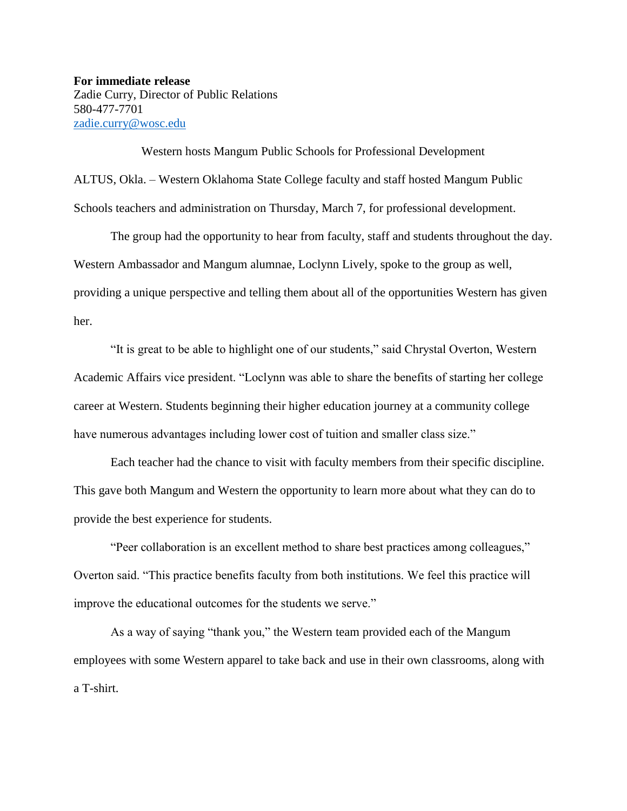**For immediate release** Zadie Curry, Director of Public Relations 580-477-7701 [zadie.curry@wosc.edu](mailto:zadie.curry@wosc.edu)

Western hosts Mangum Public Schools for Professional Development ALTUS, Okla. – Western Oklahoma State College faculty and staff hosted Mangum Public Schools teachers and administration on Thursday, March 7, for professional development.

The group had the opportunity to hear from faculty, staff and students throughout the day. Western Ambassador and Mangum alumnae, Loclynn Lively, spoke to the group as well, providing a unique perspective and telling them about all of the opportunities Western has given her.

"It is great to be able to highlight one of our students," said Chrystal Overton, Western Academic Affairs vice president. "Loclynn was able to share the benefits of starting her college career at Western. Students beginning their higher education journey at a community college have numerous advantages including lower cost of tuition and smaller class size."

Each teacher had the chance to visit with faculty members from their specific discipline. This gave both Mangum and Western the opportunity to learn more about what they can do to provide the best experience for students.

"Peer collaboration is an excellent method to share best practices among colleagues," Overton said. "This practice benefits faculty from both institutions. We feel this practice will improve the educational outcomes for the students we serve."

As a way of saying "thank you," the Western team provided each of the Mangum employees with some Western apparel to take back and use in their own classrooms, along with a T-shirt.